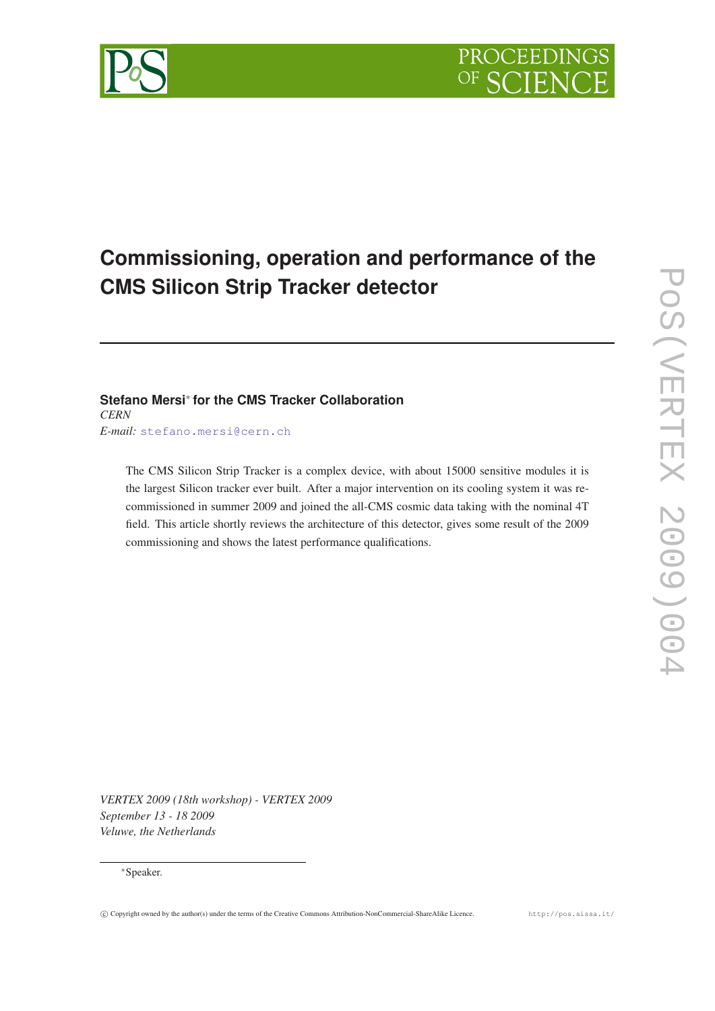

# **Commissioning, operation and performance of the CMS Silicon Strip Tracker detector**

## **Stefano Mersi**<sup>∗</sup> **for the CMS Tracker Collaboration** *CERN*

*E-mail:* [stefano.mersi@cern.ch](mailto:stefano.mersi@cern.ch)

The CMS Silicon Strip Tracker is a complex device, with about 15000 sensitive modules it is the largest Silicon tracker ever built. After a major intervention on its cooling system it was recommissioned in summer 2009 and joined the all-CMS cosmic data taking with the nominal 4T field. This article shortly reviews the architecture of this detector, gives some result of the 2009 commissioning and shows the latest performance qualifications.

*VERTEX 2009 (18th workshop) - VERTEX 2009 September 13 - 18 2009 Veluwe, the Netherlands*

#### <sup>∗</sup>Speaker.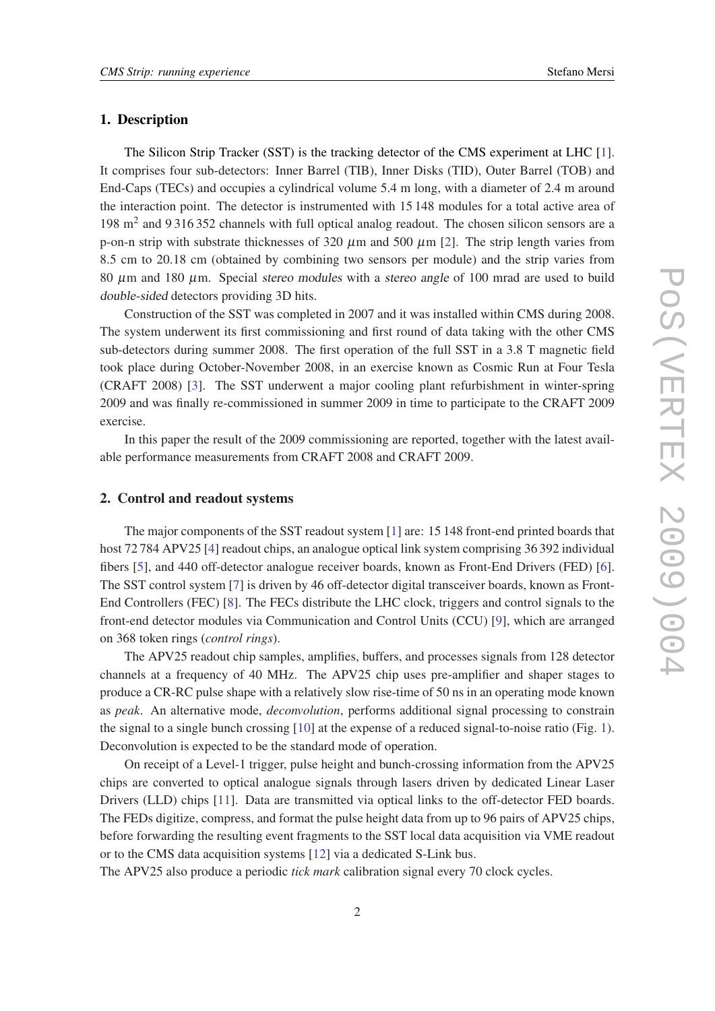#### 1. Description

The Silicon Strip Tracker (SST) is the tracking detector of the CMS experiment at LHC [\[1\]](#page-8-0). It comprises four sub-detectors: Inner Barrel (TIB), Inner Disks (TID), Outer Barrel (TOB) and End-Caps (TECs) and occupies a cylindrical volume 5.4 m long, with a diameter of 2.4 m around the interaction point. The detector is instrumented with 15 148 modules for a total active area of 198 m<sup>2</sup> and 9316352 channels with full optical analog readout. The chosen silicon sensors are a p-on-n strip with substrate thicknesses of 320  $\mu$ m and 500  $\mu$ m [\[2\]](#page-8-0). The strip length varies from 8.5 cm to 20.18 cm (obtained by combining two sensors per module) and the strip varies from 80  $\mu$ m and 180  $\mu$ m. Special stereo modules with a stereo angle of 100 mrad are used to build double-sided detectors providing 3D hits.

Construction of the SST was completed in 2007 and it was installed within CMS during 2008. The system underwent its first commissioning and first round of data taking with the other CMS sub-detectors during summer 2008. The first operation of the full SST in a 3.8 T magnetic field took place during October-November 2008, in an exercise known as Cosmic Run at Four Tesla (CRAFT 2008) [[3](#page-8-0)]. The SST underwent a major cooling plant refurbishment in winter-spring 2009 and was finally re-commissioned in summer 2009 in time to participate to the CRAFT 2009 exercise.

In this paper the result of the 2009 commissioning are reported, together with the latest available performance measurements from CRAFT 2008 and CRAFT 2009.

#### 2. Control and readout systems

The major components of the SST readout system [\[1\]](#page-8-0) are: 15 148 front-end printed boards that host 72 78[4](#page-8-0) APV25 [4] readout chips, an analogue optical link system comprising 36 392 individual fibers [\[5\]](#page-8-0), and 440 off-detector analogue receiver boards, known as Front-End Drivers (FED) [\[6\]](#page-8-0). The SST control system [\[7\]](#page-9-0) is driven by 46 off-detector digital transceiver boards, known as Front-End Controllers (FEC) [\[8\]](#page-9-0). The FECs distribute the LHC clock, triggers and control signals to the front-end detector modules via Communication and Control Units (CCU) [[9](#page-9-0)], which are arranged on 368 token rings (*control rings*).

The APV25 readout chip samples, amplifies, buffers, and processes signals from 128 detector channels at a frequency of 40 MHz. The APV25 chip uses pre-amplifier and shaper stages to produce a CR-RC pulse shape with a relatively slow rise-time of 50 ns in an operating mode known as *peak*. An alternative mode, *deconvolution*, performs additional signal processing to constrain the signal to a single bunch crossing [[10\]](#page-9-0) at the expense of a reduced signal-to-noise ratio (Fig. [1\)](#page-2-0). Deconvolution is expected to be the standard mode of operation.

On receipt of a Level-1 trigger, pulse height and bunch-crossing information from the APV25 chips are converted to optical analogue signals through lasers driven by dedicated Linear Laser Drivers (LLD) chips [\[11](#page-9-0)]. Data are transmitted via optical links to the off-detector FED boards. The FEDs digitize, compress, and format the pulse height data from up to 96 pairs of APV25 chips, before forwarding the resulting event fragments to the SST local data acquisition via VME readout or to the CMS data acquisition systems [[12\]](#page-9-0) via a dedicated S-Link bus.

The APV25 also produce a periodic *tick mark* calibration signal every 70 clock cycles.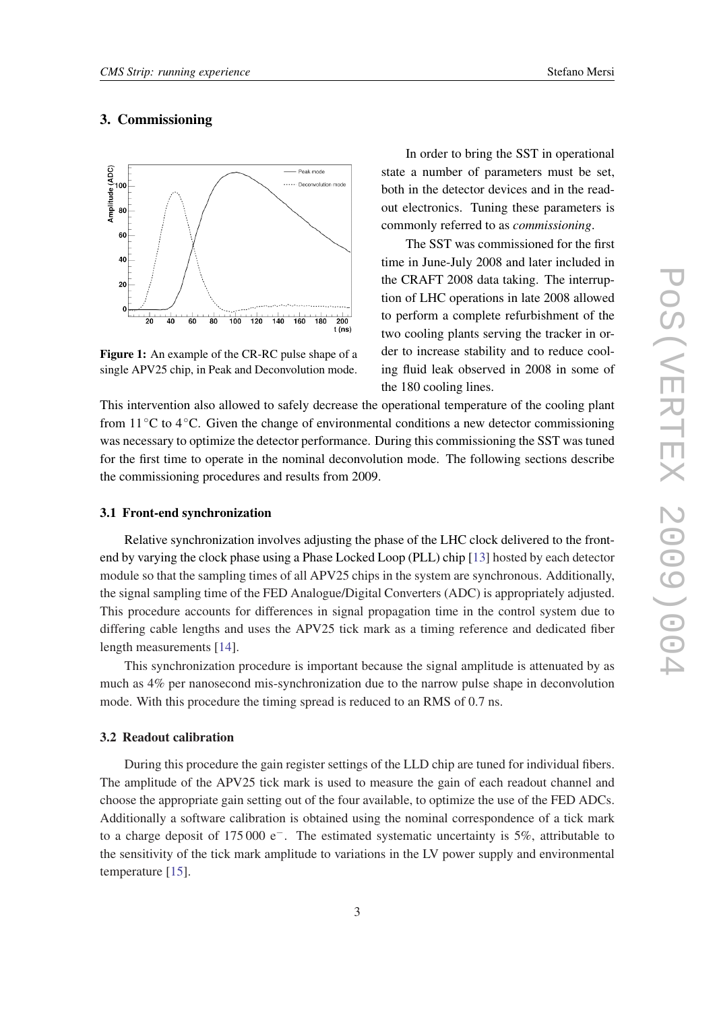### <span id="page-2-0"></span>3. Commissioning



Figure 1: An example of the CR-RC pulse shape of a single APV25 chip, in Peak and Deconvolution mode.

In order to bring the SST in operational state a number of parameters must be set, both in the detector devices and in the readout electronics. Tuning these parameters is commonly referred to as *commissioning*.

The SST was commissioned for the first time in June-July 2008 and later included in the CRAFT 2008 data taking. The interruption of LHC operations in late 2008 allowed to perform a complete refurbishment of the two cooling plants serving the tracker in order to increase stability and to reduce cooling fluid leak observed in 2008 in some of the 180 cooling lines.

This intervention also allowed to safely decrease the operational temperature of the cooling plant from 11◦C to 4◦C. Given the change of environmental conditions a new detector commissioning was necessary to optimize the detector performance. During this commissioning the SST was tuned for the first time to operate in the nominal deconvolution mode. The following sections describe the commissioning procedures and results from 2009.

#### 3.1 Front-end synchronization

Relative synchronization involves adjusting the phase of the LHC clock delivered to the frontend by varying the clock phase using a Phase Locked Loop (PLL) chip [[13\]](#page-9-0) hosted by each detector module so that the sampling times of all APV25 chips in the system are synchronous. Additionally, the signal sampling time of the FED Analogue/Digital Converters (ADC) is appropriately adjusted. This procedure accounts for differences in signal propagation time in the control system due to differing cable lengths and uses the APV25 tick mark as a timing reference and dedicated fiber length measurements [\[14](#page-9-0)].

This synchronization procedure is important because the signal amplitude is attenuated by as much as 4% per nanosecond mis-synchronization due to the narrow pulse shape in deconvolution mode. With this procedure the timing spread is reduced to an RMS of 0.7 ns.

#### 3.2 Readout calibration

During this procedure the gain register settings of the LLD chip are tuned for individual fibers. The amplitude of the APV25 tick mark is used to measure the gain of each readout channel and choose the appropriate gain setting out of the four available, to optimize the use of the FED ADCs. Additionally a software calibration is obtained using the nominal correspondence of a tick mark to a charge deposit of 175 000 e−. The estimated systematic uncertainty is 5%, attributable to the sensitivity of the tick mark amplitude to variations in the LV power supply and environmental temperature [[15\]](#page-9-0).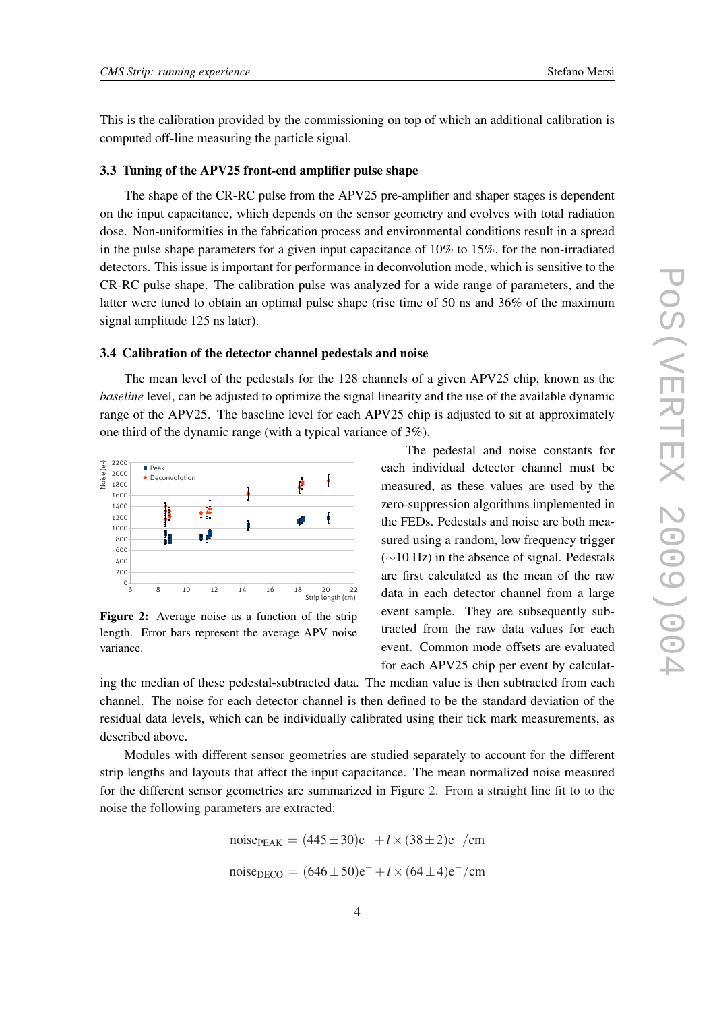This is the calibration provided by the commissioning on top of which an additional calibration is computed off-line measuring the particle signal.

#### 3.3 Tuning of the APV25 front-end amplifier pulse shape

The shape of the CR-RC pulse from the APV25 pre-amplifier and shaper stages is dependent on the input capacitance, which depends on the sensor geometry and evolves with total radiation dose. Non-uniformities in the fabrication process and environmental conditions result in a spread in the pulse shape parameters for a given input capacitance of 10% to 15%, for the non-irradiated detectors. This issue is important for performance in deconvolution mode, which is sensitive to the CR-RC pulse shape. The calibration pulse was analyzed for a wide range of parameters, and the latter were tuned to obtain an optimal pulse shape (rise time of 50 ns and 36% of the maximum signal amplitude 125 ns later).

#### 3.4 Calibration of the detector channel pedestals and noise

The mean level of the pedestals for the 128 channels of a given APV25 chip, known as the *baseline* level, can be adjusted to optimize the signal linearity and the use of the available dynamic range of the APV25. The baseline level for each APV25 chip is adjusted to sit at approximately one third of the dynamic range (with a typical variance of 3%).



Figure 2: Average noise as a function of the strip length. Error bars represent the average APV noise variance.

The pedestal and noise constants for each individual detector channel must be measured, as these values are used by the zero-suppression algorithms implemented in the FEDs. Pedestals and noise are both measured using a random, low frequency trigger (∼10 Hz) in the absence of signal. Pedestals are first calculated as the mean of the raw data in each detector channel from a large event sample. They are subsequently subtracted from the raw data values for each event. Common mode offsets are evaluated for each APV25 chip per event by calculat-

ing the median of these pedestal-subtracted data. The median value is then subtracted from each channel. The noise for each detector channel is then defined to be the standard deviation of the residual data levels, which can be individually calibrated using their tick mark measurements, as described above.

Modules with different sensor geometries are studied separately to account for the different strip lengths and layouts that affect the input capacitance. The mean normalized noise measured for the different sensor geometries are summarized in Figure 2. From a straight line fit to to the noise the following parameters are extracted:

noise<sub>PEAK</sub> = 
$$
(445 \pm 30)e^- + l \times (38 \pm 2)e^- / \text{cm}
$$
  
noise<sub>DECO</sub> =  $(646 \pm 50)e^- + l \times (64 \pm 4)e^- / \text{cm}$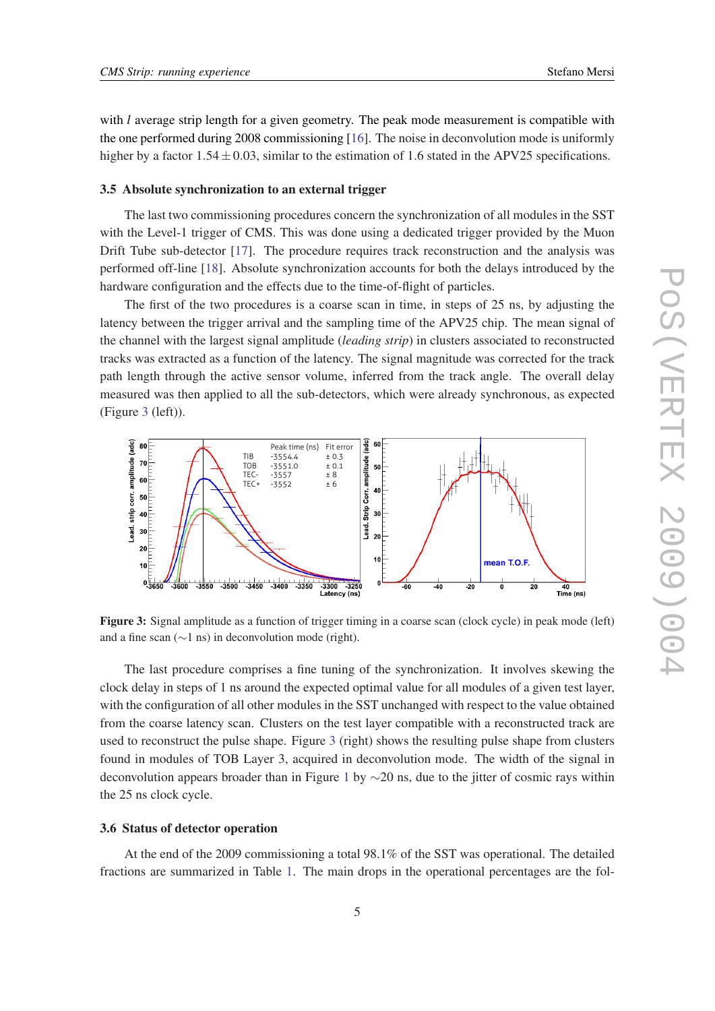with *l* average strip length for a given geometry. The peak mode measurement is compatible with the one performed during 2008 commissioning [\[16](#page-9-0)]. The noise in deconvolution mode is uniformly higher by a factor  $1.54 \pm 0.03$ , similar to the estimation of 1.6 stated in the APV25 specifications.

#### 3.5 Absolute synchronization to an external trigger

The last two commissioning procedures concern the synchronization of all modules in the SST with the Level-1 trigger of CMS. This was done using a dedicated trigger provided by the Muon Drift Tube sub-detector [[17\]](#page-9-0). The procedure requires track reconstruction and the analysis was performed off-line [\[18\]](#page-9-0). Absolute synchronization accounts for both the delays introduced by the hardware configuration and the effects due to the time-of-flight of particles.

The first of the two procedures is a coarse scan in time, in steps of 25 ns, by adjusting the latency between the trigger arrival and the sampling time of the APV25 chip. The mean signal of the channel with the largest signal amplitude (*leading strip*) in clusters associated to reconstructed tracks was extracted as a function of the latency. The signal magnitude was corrected for the track path length through the active sensor volume, inferred from the track angle. The overall delay measured was then applied to all the sub-detectors, which were already synchronous, as expected (Figure 3 (left)).



Figure 3: Signal amplitude as a function of trigger timing in a coarse scan (clock cycle) in peak mode (left) and a fine scan (∼1 ns) in deconvolution mode (right).

The last procedure comprises a fine tuning of the synchronization. It involves skewing the clock delay in steps of 1 ns around the expected optimal value for all modules of a given test layer, with the configuration of all other modules in the SST unchanged with respect to the value obtained from the coarse latency scan. Clusters on the test layer compatible with a reconstructed track are used to reconstruct the pulse shape. Figure 3 (right) shows the resulting pulse shape from clusters found in modules of TOB Layer 3, acquired in deconvolution mode. The width of the signal in deconvolution appears broader than in Figure [1](#page-2-0) by ∼20 ns, due to the jitter of cosmic rays within the 25 ns clock cycle.

#### 3.6 Status of detector operation

At the end of the 2009 commissioning a total 98.1% of the SST was operational. The detailed fractions are summarized in Table [1.](#page-5-0) The main drops in the operational percentages are the fol-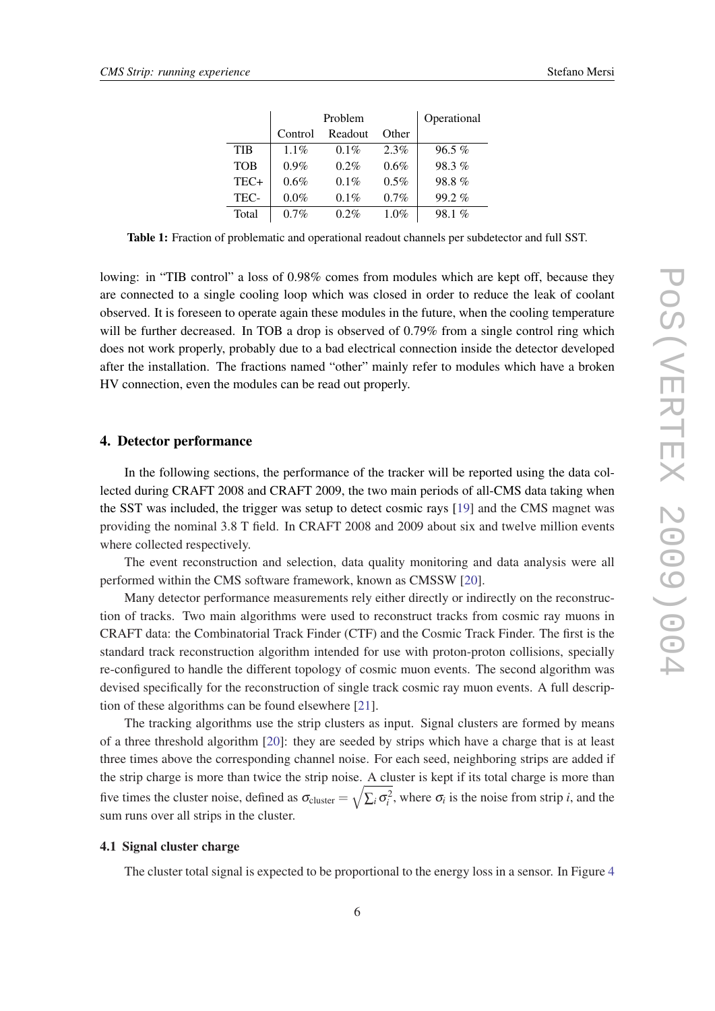<span id="page-5-0"></span>

|            | Problem |         |       | Operational |
|------------|---------|---------|-------|-------------|
|            | Control | Readout | Other |             |
| TIB        | $1.1\%$ | $0.1\%$ | 2.3%  | $96.5\%$    |
| <b>TOB</b> | $0.9\%$ | $0.2\%$ | 0.6%  | 98.3%       |
| TEC+       | 0.6%    | $0.1\%$ | 0.5%  | 98.8%       |
| TEC-       | 0.0%    | $0.1\%$ | 0.7%  | $99.2\%$    |
| Total      | $0.7\%$ | $0.2\%$ | 1.0%  | 98.1%       |

Table 1: Fraction of problematic and operational readout channels per subdetector and full SST.

lowing: in "TIB control" a loss of 0.98% comes from modules which are kept off, because they are connected to a single cooling loop which was closed in order to reduce the leak of coolant observed. It is foreseen to operate again these modules in the future, when the cooling temperature will be further decreased. In TOB a drop is observed of 0.79% from a single control ring which does not work properly, probably due to a bad electrical connection inside the detector developed after the installation. The fractions named "other" mainly refer to modules which have a broken HV connection, even the modules can be read out properly.

#### 4. Detector performance

In the following sections, the performance of the tracker will be reported using the data collected during CRAFT 2008 and CRAFT 2009, the two main periods of all-CMS data taking when the SST was included, the trigger was setup to detect cosmic rays [\[19](#page-9-0)] and the CMS magnet was providing the nominal 3.8 T field. In CRAFT 2008 and 2009 about six and twelve million events where collected respectively.

The event reconstruction and selection, data quality monitoring and data analysis were all performed within the CMS software framework, known as CMSSW [[20\]](#page-9-0).

Many detector performance measurements rely either directly or indirectly on the reconstruction of tracks. Two main algorithms were used to reconstruct tracks from cosmic ray muons in CRAFT data: the Combinatorial Track Finder (CTF) and the Cosmic Track Finder. The first is the standard track reconstruction algorithm intended for use with proton-proton collisions, specially re-configured to handle the different topology of cosmic muon events. The second algorithm was devised specifically for the reconstruction of single track cosmic ray muon events. A full description of these algorithms can be found elsewhere [\[21](#page-9-0)].

The tracking algorithms use the strip clusters as input. Signal clusters are formed by means of a three threshold algorithm [\[20](#page-9-0)]: they are seeded by strips which have a charge that is at least three times above the corresponding channel noise. For each seed, neighboring strips are added if the strip charge is more than twice the strip noise. A cluster is kept if its total charge is more than five times the cluster noise, defined as  $\sigma_{\text{cluster}} = \sqrt{\sum_i \sigma_i^2}$ , where  $\sigma_i$  is the noise from strip *i*, and the sum runs over all strips in the cluster.

### 4.1 Signal cluster charge

The cluster total signal is expected to be proportional to the energy loss in a sensor. In Figure [4](#page-6-0)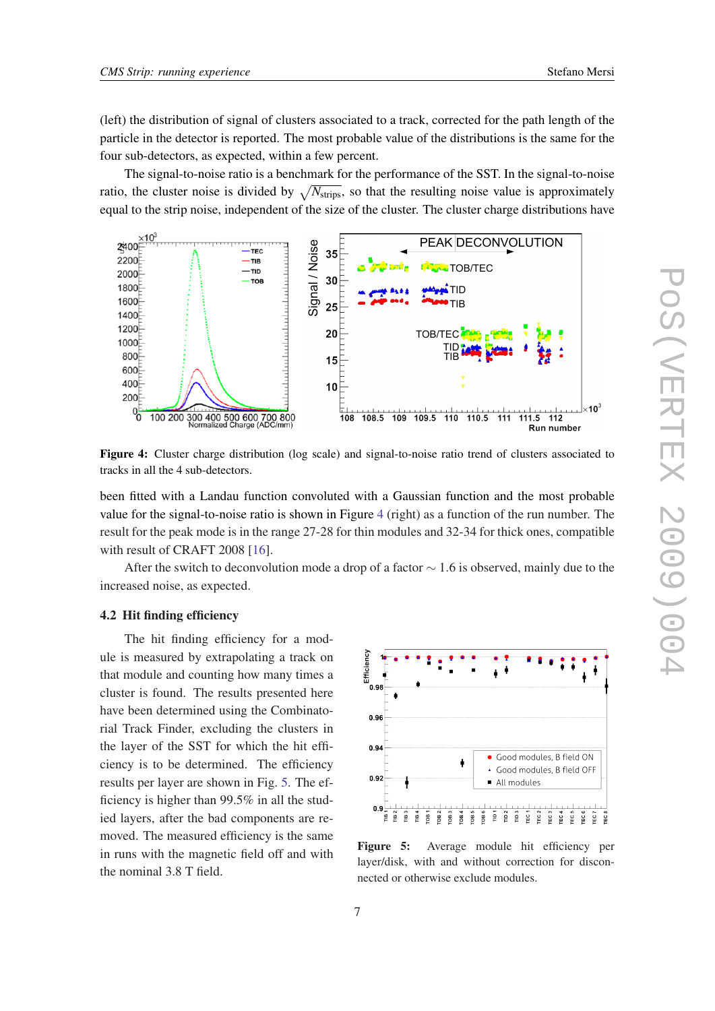<span id="page-6-0"></span>(left) the distribution of signal of clusters associated to a track, corrected for the path length of the particle in the detector is reported. The most probable value of the distributions is the same for the four sub-detectors, as expected, within a few percent.

The signal-to-noise ratio is a benchmark for the performance of the SST. In the signal-to-noise ratio, the cluster noise is divided by  $\sqrt{N_{\text{strips}}}$ , so that the resulting noise value is approximately equal to the strip noise, independent of the size of the cluster. The cluster charge distributions have



Figure 4: Cluster charge distribution (log scale) and signal-to-noise ratio trend of clusters associated to tracks in all the 4 sub-detectors.

been fitted with a Landau function convoluted with a Gaussian function and the most probable value for the signal-to-noise ratio is shown in Figure 4 (right) as a function of the run number. The result for the peak mode is in the range 27-28 for thin modules and 32-34 for thick ones, compatible with result of CRAFT 2008 [\[16](#page-9-0)].

After the switch to deconvolution mode a drop of a factor  $\sim 1.6$  is observed, mainly due to the increased noise, as expected.

#### 4.2 Hit finding efficiency

The hit finding efficiency for a module is measured by extrapolating a track on that module and counting how many times a cluster is found. The results presented here have been determined using the Combinatorial Track Finder, excluding the clusters in the layer of the SST for which the hit efficiency is to be determined. The efficiency results per layer are shown in Fig. 5. The efficiency is higher than 99.5% in all the studied layers, after the bad components are removed. The measured efficiency is the same in runs with the magnetic field off and with the nominal 3.8 T field.



Figure 5: Average module hit efficiency per layer/disk, with and without correction for disconnected or otherwise exclude modules.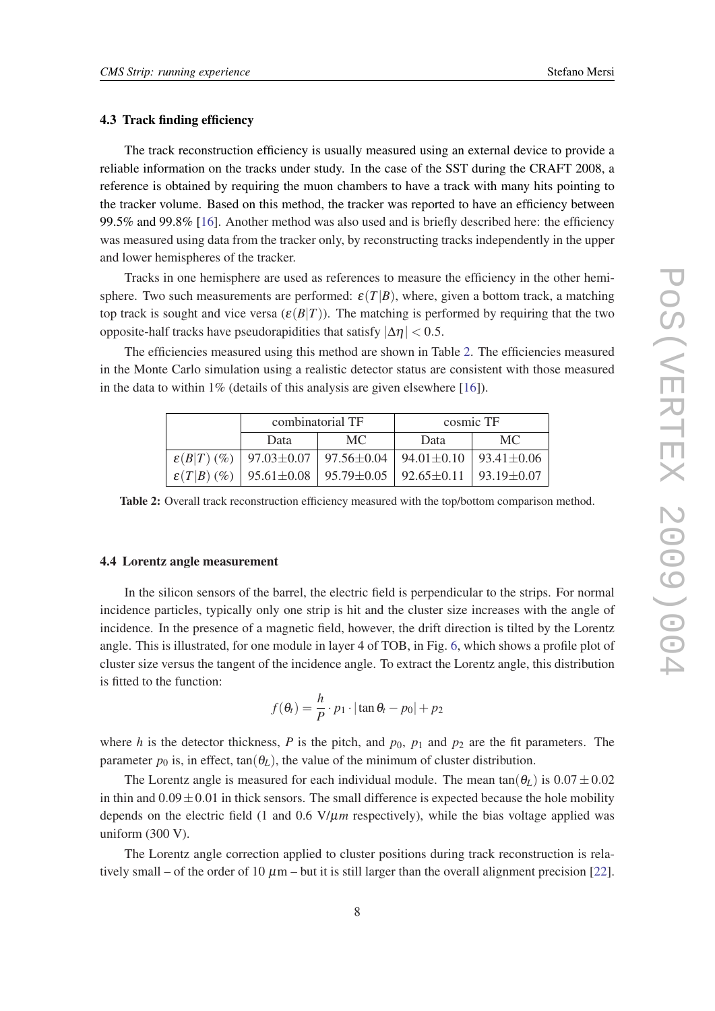#### 4.3 Track finding efficiency

The track reconstruction efficiency is usually measured using an external device to provide a reliable information on the tracks under study. In the case of the SST during the CRAFT 2008, a reference is obtained by requiring the muon chambers to have a track with many hits pointing to the tracker volume. Based on this method, the tracker was reported to have an efficiency between 99.5% and 99.8% [\[16](#page-9-0)]. Another method was also used and is briefly described here: the efficiency was measured using data from the tracker only, by reconstructing tracks independently in the upper and lower hemispheres of the tracker.

Tracks in one hemisphere are used as references to measure the efficiency in the other hemisphere. Two such measurements are performed:  $\varepsilon(T|B)$ , where, given a bottom track, a matching top track is sought and vice versa  $(\varepsilon(B|T))$ . The matching is performed by requiring that the two opposite-half tracks have pseudorapidities that satisfy  $|\Delta \eta| < 0.5$ .

The efficiencies measured using this method are shown in Table 2. The efficiencies measured in the Monte Carlo simulation using a realistic detector status are consistent with those measured in the data to within  $1\%$  (details of this analysis are given elsewhere [[16\]](#page-9-0)).

| combinatorial TF |                                                                                                    | cosmic TF |     |
|------------------|----------------------------------------------------------------------------------------------------|-----------|-----|
| Data             | MC.                                                                                                | Data      | MC. |
|                  | $\varepsilon(B T)$ (%)   97.03 $\pm$ 0.07   97.56 $\pm$ 0.04   94.01 $\pm$ 0.10   93.41 $\pm$ 0.06 |           |     |
|                  | $\varepsilon(T B)$ (%)   95.61 $\pm$ 0.08   95.79 $\pm$ 0.05   92.65 $\pm$ 0.11   93.19 $\pm$ 0.07 |           |     |

Table 2: Overall track reconstruction efficiency measured with the top/bottom comparison method.

#### 4.4 Lorentz angle measurement

In the silicon sensors of the barrel, the electric field is perpendicular to the strips. For normal incidence particles, typically only one strip is hit and the cluster size increases with the angle of incidence. In the presence of a magnetic field, however, the drift direction is tilted by the Lorentz angle. This is illustrated, for one module in layer 4 of TOB, in Fig. [6,](#page-8-0) which shows a profile plot of cluster size versus the tangent of the incidence angle. To extract the Lorentz angle, this distribution is fitted to the function:

$$
f(\theta_t) = \frac{h}{P} \cdot p_1 \cdot |\tan \theta_t - p_0| + p_2
$$

where *h* is the detector thickness, *P* is the pitch, and  $p_0$ ,  $p_1$  and  $p_2$  are the fit parameters. The parameter  $p_0$  is, in effect,  $tan(\theta_L)$ , the value of the minimum of cluster distribution.

The Lorentz angle is measured for each individual module. The mean tan( $\theta_L$ ) is  $0.07 \pm 0.02$ in thin and  $0.09 \pm 0.01$  in thick sensors. The small difference is expected because the hole mobility depends on the electric field  $(1 \text{ and } 0.6 \text{ V}/\mu m \text{ respectively})$ , while the bias voltage applied was uniform (300 V).

The Lorentz angle correction applied to cluster positions during track reconstruction is relatively small – of the order of 10  $\mu$ m – but it is still larger than the overall alignment precision [[22\]](#page-9-0).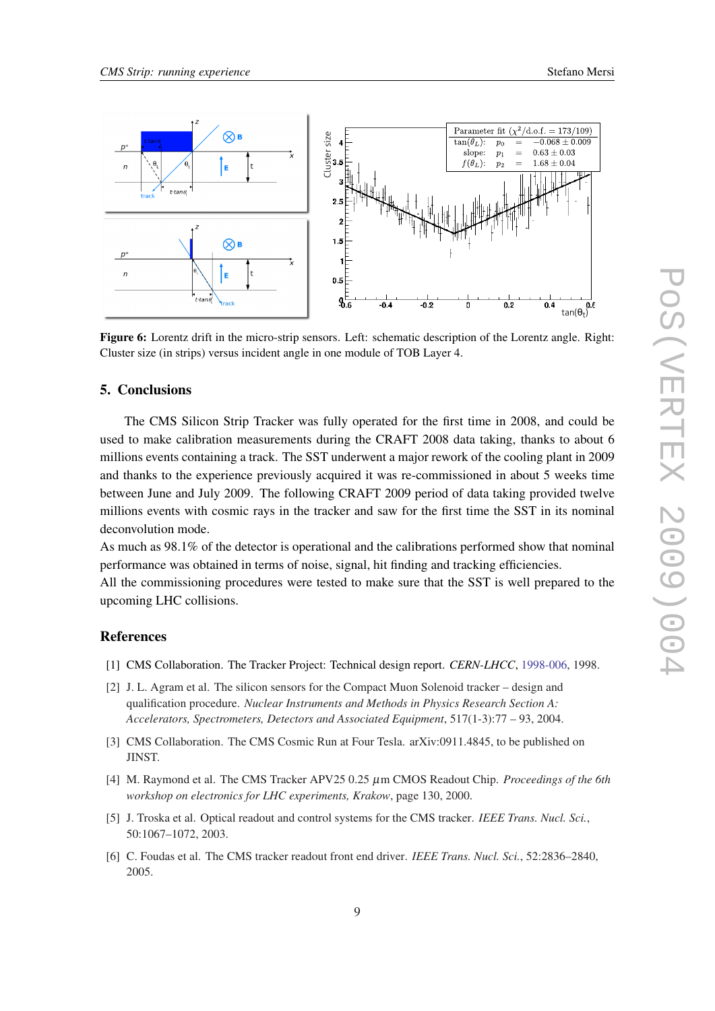<span id="page-8-0"></span>

Figure 6: Lorentz drift in the micro-strip sensors. Left: schematic description of the Lorentz angle. Right: Cluster size (in strips) versus incident angle in one module of TOB Layer 4.

#### 5. Conclusions

The CMS Silicon Strip Tracker was fully operated for the first time in 2008, and could be used to make calibration measurements during the CRAFT 2008 data taking, thanks to about 6 millions events containing a track. The SST underwent a major rework of the cooling plant in 2009 and thanks to the experience previously acquired it was re-commissioned in about 5 weeks time between June and July 2009. The following CRAFT 2009 period of data taking provided twelve millions events with cosmic rays in the tracker and saw for the first time the SST in its nominal deconvolution mode.

As much as 98.1% of the detector is operational and the calibrations performed show that nominal performance was obtained in terms of noise, signal, hit finding and tracking efficiencies.

All the commissioning procedures were tested to make sure that the SST is well prepared to the upcoming LHC collisions.

#### References

- [1] CMS Collaboration. The Tracker Project: Technical design report. *CERN-LHCC*, [1998-006](http://cmsdoc.cern.ch/cms/TDR/TRACKER/tracker_tdr_files.html), 1998.
- [2] J. L. Agram et al. The silicon sensors for the Compact Muon Solenoid tracker design and qualification procedure. *Nuclear Instruments and Methods in Physics Research Section A: Accelerators, Spectrometers, Detectors and Associated Equipment*, 517(1-3):77 – 93, 2004.
- [3] CMS Collaboration. The CMS Cosmic Run at Four Tesla. arXiv:0911.4845, to be published on JINST.
- [4] M. Raymond et al. The CMS Tracker APV25 0.25 µm CMOS Readout Chip. *Proceedings of the 6th workshop on electronics for LHC experiments, Krakow*, page 130, 2000.
- [5] J. Troska et al. Optical readout and control systems for the CMS tracker. *IEEE Trans. Nucl. Sci.*, 50:1067–1072, 2003.
- [6] C. Foudas et al. The CMS tracker readout front end driver. *IEEE Trans. Nucl. Sci.*, 52:2836–2840, 2005.